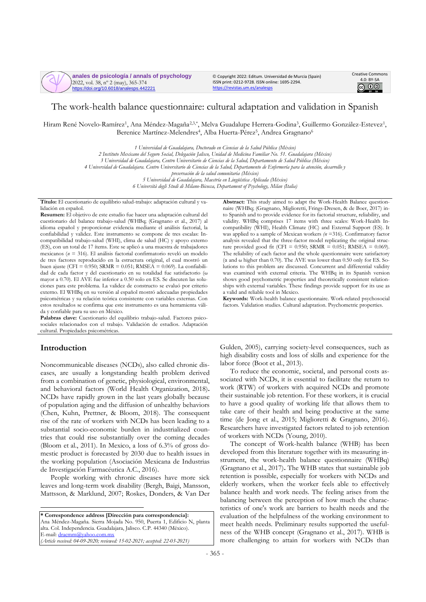

© Copyright 2022: Editum. Universidad de Murcia (Spain) ISSN print: 0212-9728. ISSN online: 1695-2294. <https://revistas.um.es/analesps>



# The work-health balance questionnaire: cultural adaptation and validation in Spanish

Hiram René Novelo-Ramírez<sup>1</sup>, Ana Méndez-Magaña<sup>2,3,\*</sup>, Melva Guadalupe Herrera-Godina<sup>3</sup>, Guillermo González-Estevez<sup>1</sup>, Berenice Martínez-Melendres<sup>4</sup>, Alba Huerta-Pérez<sup>5</sup>, Andrea Gragnano<sup>6</sup>

> *1 Universidad de Guadalajara, Doctorado en Ciencias de la Salud Pública (México) 2 Instituto Mexicano del Seguro Social, Delegación Jalisco, Unidad de Medicina Familiar No. 51. Guadalajara (México) 3 Universidad de Guadalajara, Centro Universitario de Ciencias de la Salud, Departamento de Salud Pública (México) 4 Universidad de Guadalajara. Centro Universitario de Ciencias de la Salud, Departamento de Enfermería para la atención, desarrollo y preservación de la salud comunitaria (México)*

*5 Universidad de Guadalajara, Maestría en Lingüística Aplicada (México)*

*6 Università degli Studi di Milano-Bicocca, Departament of Psychology, Milan (Italia)*

**Título:** El cuestionario de equilibrio salud-trabajo: adaptación cultural y validación en español.

**Resumen:** El objetivo de este estudio fue hacer una adaptación cultural del cuestionario del balance trabajo-salud (WHBq; (Gragnano et al., 2017) al idioma español y proporcionar evidencia mediante el análisis factorial, la confiabilidad y validez. Este instrumento se compone de tres escalas: Incompatibilidad trabajo-salud (WHI), clima de salud (HC) y apoyo externo (ES), con un total de 17 ítems. Este se aplicó a una muestra de trabajadores mexicanos (*n* = 316). El análisis factorial confirmatorio reveló un modelo de tres factores reproducido en la estructura original, el cual mostró un buen ajuste (CFI =  $0.950$ ; SRMR =  $0.051$ ; RMSEA =  $0.069$ ). La confiabilidad de cada factor y del cuestionario en su totalidad fue satisfactorio (ω mayor a 0.70). El AVE fue inferior a 0.50 solo en ES. Se discuten las soluciones para este problema. La validez de constructo se evaluó por criterio externo. El WHBq en su versión al español mostró adecuadas propiedades psicométricas y su relación teórica consistente con variables externas. Con estos resultados se confirma que este instrumento es una herramienta válida y confiable para su uso en México.

**Palabras clave:** Cuestionario del equilibrio trabajo-salud. Factores psicosociales relacionados con el trabajo. Validación de estudios. Adaptación cultural. Propiedades psicométricas.

## **Introduction**

Noncommunicable diseases (NCDs), also called chronic diseases, are usually a longstanding health problem derived from a combination of genetic, physiological, environmental, and behavioral factors (World Health Organization, 2018)**.** NCDs have rapidly grown in the last years globally because of population aging and the diffusion of unhealthy behaviors (Chen, Kuhn, Prettner, & Bloom, 2018). The consequent rise of the rate of workers with NCDs has been leading to a substantial socio-economic burden in industrialized countries that could rise substantially over the coming decades (Bloom et al., 2011). In Mexico, a loss of 6.3% of gross domestic product is forecasted by 2030 due to health issues in the working population (Asociación Mexicana de Industrias de Investigación Farmacéutica A.C., 2016).

People working with chronic diseases have more sick leaves and long-term work disability (Bergh, Baigi, Mansson, Mattsson, & Marklund, 2007; Roskes, Donders, & Van Der

**\* Correspondence address [Dirección para correspondencia]:** Ana Méndez-Magaña. Sierra Mojada No. 950, Puerta 1, Edificio N, planta alta. Col. Independencia. Guadalajara, Jalisco. C.P. 44340 (México). E-mail[: dracmm@yahoo.com.mx](mailto:dracmm@yahoo.com.mx) *(Article received: 04-09-2020; reviewed: 15-02-2021; accepted: 22-03-2021)*

**Abstract:** This study aimed to adapt the Work-Health Balance questionnaire (WHBq; (Gragnano, Miglioretti, Frings-Dresen, & de Boer, 2017) into Spanish and to provide evidence for its factorial structure, reliability, and validity. WHBq comprises 17 items with three scales: Work-Health Incompatibility (WHI), Health Climate (HC) and External Support (ES). It was applied to a sample of Mexican workers *(n* =316). Confirmatory factor analysis revealed that the three-factor model replicating the original structure provided good fit (CFI = 0.950; SRMR = 0.051; RMSEA = 0.069). The reliability of each factor and the whole questionnaire were satisfactory (α and ω higher than 0.70). The AVE was lower than 0.50 only for ES. Solutions to this problem are discussed. Concurrent and differential validity was examined with external criteria. The WHBq in its Spanish version shows good psychometric properties and theoretically consistent relationships with external variables. These findings provide support for its use as a valid and reliable tool in Mexico.

**Keywords:** Work-health balance questionnaire. Work-related psychosocial factors. Validation studies. Cultural adaptation. Psychometric properties.

Gulden, 2005), carrying society-level consequences, such as high disability costs and loss of skills and experience for the labor force (Boot et al., 2013).

To reduce the economic, societal, and personal costs associated with NCDs, it is essential to facilitate the return to work (RTW) of workers with acquired NCDs and promote their sustainable job retention. For these workers, it is crucial to have a good quality of working life that allows them to take care of their health and being productive at the same time (de Jong et al., 2015; Miglioretti & Gragnano, 2016). Researchers have investigated factors related to job retention of workers with NCDs (Young, 2010).

The concept of Work-health balance (WHB) has been developed from this literature together with its measuring instrument, the work-health balance questionnaire (WHBq) (Gragnano et al., 2017)**.** The WHB states that sustainable job retention is possible, especially for workers with NCDs and elderly workers, when the worker feels able to effectively balance health and work needs. The feeling arises from the balancing between the perception of how much the characteristics of one's work are barriers to health needs and the evaluation of the helpfulness of the working environment to meet health needs. Preliminary results supported the usefulness of the WHB concept (Gragnano et al., 2017). WHB is more challenging to attain for workers with NCDs than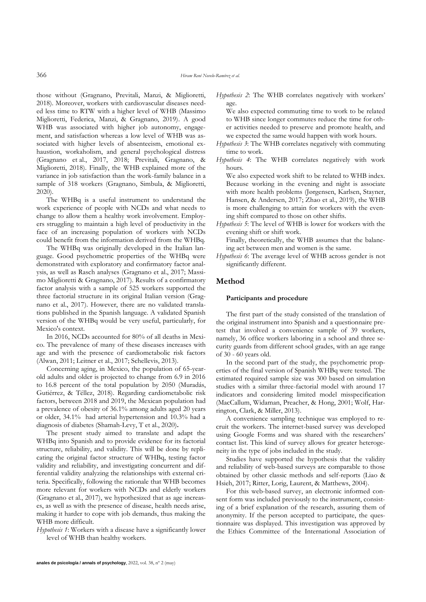those without (Gragnano, Previtali, Manzi, & Miglioretti, 2018). Moreover, workers with cardiovascular diseases needed less time to RTW with a higher level of WHB (Massimo Miglioretti, Federica, Manzi, & Gragnano, 2019). A good WHB was associated with higher job autonomy, engagement, and satisfaction whereas a low level of WHB was associated with higher levels of absenteeism, emotional exhaustion, workaholism, and general psychological distress (Gragnano et al., 2017, 2018; Previtali, Gragnano, & Miglioretti, 2018). Finally, the WHB explained more of the variance in job satisfaction than the work-family balance in a sample of 318 workers (Gragnano, Simbula, & Miglioretti, 2020).

The WHBq is a useful instrument to understand the work experience of people with NCDs and what needs to change to allow them a healthy work involvement. Employers struggling to maintain a high level of productivity in the face of an increasing population of workers with NCDs could benefit from the information derived from the WHBq.

The WHBq was originally developed in the Italian language. Good psychometric properties of the WHBq were demonstrated with exploratory and confirmatory factor analysis, as well as Rasch analyses (Gragnano et al., 2017; Massimo Miglioretti & Gragnano, 2017). Results of a confirmatory factor analysis with a sample of 525 workers supported the three factorial structure in its original Italian version (Gragnano et al., 2017). However, there are no validated translations published in the Spanish language. A validated Spanish version of the WHBq would be very useful, particularly, for Mexico's context.

In 2016, NCDs accounted for 80% of all deaths in Mexico. The prevalence of many of these diseases increases with age and with the presence of cardiometabolic risk factors (Alwan, 2011; Leitner et al., 2017; Schellevis, 2013).

Concerning aging, in Mexico, the population of 65-yearold adults and older is projected to change from 6.9 in 2016 to 16.8 percent of the total population by 2050 (Muradás, Gutiérrez, & Téllez, 2018). Regarding cardiometabolic risk factors, between 2018 and 2019, the Mexican population had a prevalence of obesity of 36.1% among adults aged 20 years or older, 34.1% had arterial hypertension and 10.3% had a diagnosis of diabetes (Shamah-Levy, T et al., 2020)**.** 

The present study aimed to translate and adapt the WHBq into Spanish and to provide evidence for its factorial structure, reliability, and validity. This will be done by replicating the original factor structure of WHBq, testing factor validity and reliability, and investigating concurrent and differential validity analyzing the relationships with external criteria. Specifically, following the rationale that WHB becomes more relevant for workers with NCDs and elderly workers (Gragnano et al., 2017), we hypothesized that as age increases, as well as with the presence of disease, health needs arise, making it harder to cope with job demands, thus making the WHB more difficult.

*Hypothesis 1*: Workers with a disease have a significantly lower level of WHB than healthy workers.

*Hypothesis 2*: The WHB correlates negatively with workers' age.

We also expected commuting time to work to be related to WHB since longer commutes reduce the time for other activities needed to preserve and promote health, and we expected the same would happen with work hours.

- *Hypothesis 3*: The WHB correlates negatively with commuting time to work.
- *Hypothesis 4*: The WHB correlates negatively with work hours.

We also expected work shift to be related to WHB index. Because working in the evening and night is associate with more health problems (Jørgensen, Karlsen, Stayner, Hansen, & Andersen, 2017; Zhao et al., 2019), the WHB is more challenging to attain for workers with the evening shift compared to those on other shifts.

*Hypothesis 5*: The level of WHB is lower for workers with the evening shift or shift work. Finally, theoretically, the WHB assumes that the balanc-

ing act between men and women is the same.

*Hypothesis 6*: The average level of WHB across gender is not significantly different.

# **Method**

#### **Participants and procedure**

The first part of the study consisted of the translation of the original instrument into Spanish and a questionnaire pretest that involved a convenience sample of 39 workers, namely, 36 office workers laboring in a school and three security guards from different school grades, with an age range of 30 - 60 years old.

In the second part of the study, the psychometric properties of the final version of Spanish WHBq were tested. The estimated required sample size was 300 based on simulation studies with a similar three-factorial model with around 17 indicators and considering limited model misspecification (MacCallum, Widaman, Preacher, & Hong, 2001; Wolf, Harrington, Clark, & Miller, 2013).

A convenience sampling technique was employed to recruit the workers. The internet-based survey was developed using Google Forms and was shared with the researchers' contact list. This kind of survey allows for greater heterogeneity in the type of jobs included in the study.

Studies have supported the hypothesis that the validity and reliability of web-based surveys are comparable to those obtained by other classic methods and self-reports (Liao & Hsieh, 2017; Ritter, Lorig, Laurent, & Matthews, 2004).

For this web-based survey, an electronic informed consent form was included previously to the instrument, consisting of a brief explanation of the research, assuring them of anonymity. If the person accepted to participate, the questionnaire was displayed. This investigation was approved by the Ethics Committee of the International Association of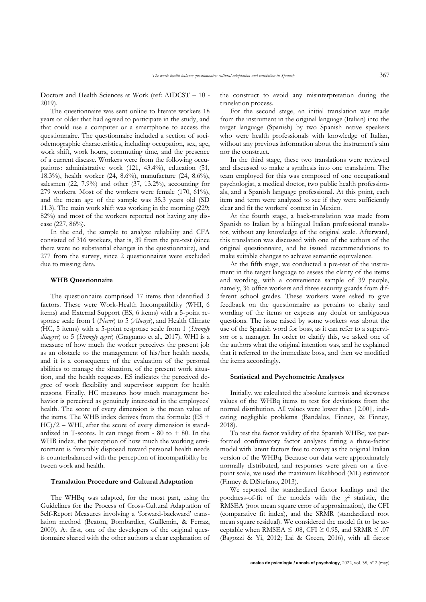Doctors and Health Sciences at Work (ref: AIDCST – 10 - 2019).

The questionnaire was sent online to literate workers 18 years or older that had agreed to participate in the study, and that could use a computer or a smartphone to access the questionnaire. The questionnaire included a section of sociodemographic characteristics, including occupation, sex, age, work shift, work hours, commuting time, and the presence of a current disease. Workers were from the following occupations: administrative work (121, 43.4%), education (51, 18.3%), health worker (24, 8.6%), manufacture (24, 8.6%), salesmen (22, 7.9%) and other (37, 13.2%), accounting for 279 workers. Most of the workers were female (170, 61%), and the mean age of the sample was 35.3 years old (SD 11.3). The main work shift was working in the morning (229; 82%) and most of the workers reported not having any disease (227, 86%).

In the end, the sample to analyze reliability and CFA consisted of 316 workers, that is, 39 from the pre-test (since there were no substantial changes in the questionnaire), and 277 from the survey, since 2 questionnaires were excluded due to missing data.

#### **WHB Questionnaire**

The questionnaire comprised 17 items that identified 3 factors. These were Work-Health Incompatibility (WHI, 6 items) and External Support (ES, 6 items) with a 5-point response scale from 1 (*Never*) to 5 (*Always*), and Health Climate (HC, 5 items) with a 5-point response scale from 1 (*Strongly disagree*) to 5 (*Strongly agree*) (Gragnano et al., 2017). WHI is a measure of how much the worker perceives the present job as an obstacle to the management of his/her health needs, and it is a consequence of the evaluation of the personal abilities to manage the situation, of the present work situation, and the health requests. ES indicates the perceived degree of work flexibility and supervisor support for health reasons. Finally, HC measures how much management behavior is perceived as genuinely interested in the employees' health. The score of every dimension is the mean value of the items. The WHB index derives from the formula: (ES +  $HC)/2$  – WHI, after the score of every dimension is standardized in T-scores. It can range from  $-80$  to  $+80$ . In the WHB index, the perception of how much the working environment is favorably disposed toward personal health needs is counterbalanced with the perception of incompatibility between work and health.

### **Translation Procedure and Cultural Adaptation**

The WHBq was adapted, for the most part, using the Guidelines for the Process of Cross-Cultural Adaptation of Self-Report Measures involving a 'forward-backward' translation method (Beaton, Bombardier, Guillemin, & Ferraz, 2000). At first, one of the developers of the original questionnaire shared with the other authors a clear explanation of the construct to avoid any misinterpretation during the translation process.

For the second stage, an initial translation was made from the instrument in the original language (Italian) into the target language (Spanish) by two Spanish native speakers who were health professionals with knowledge of Italian, without any previous information about the instrument's aim nor the construct.

In the third stage, these two translations were reviewed and discussed to make a synthesis into one translation. The team employed for this was composed of one occupational psychologist, a medical doctor, two public health professionals, and a Spanish language professional. At this point, each item and term were analyzed to see if they were sufficiently clear and fit the workers' context in Mexico.

At the fourth stage, a back-translation was made from Spanish to Italian by a bilingual Italian professional translator, without any knowledge of the original scale. Afterward, this translation was discussed with one of the authors of the original questionnaire, and he issued recommendations to make suitable changes to achieve semantic equivalence.

At the fifth stage, we conducted a pre-test of the instrument in the target language to assess the clarity of the items and wording, with a convenience sample of 39 people, namely, 36 office workers and three security guards from different school grades. These workers were asked to give feedback on the questionnaire as pertains to clarity and wording of the items or express any doubt or ambiguous questions. The issue raised by some workers was about the use of the Spanish word for boss, as it can refer to a supervisor or a manager. In order to clarify this, we asked one of the authors what the original intention was, and he explained that it referred to the immediate boss, and then we modified the items accordingly.

#### **Statistical and Psychometric Analyses**

Initially, we calculated the absolute kurtosis and skewness values of the WHBq items to test for deviations from the normal distribution. All values were lower than |2.00|, indicating negligible problems (Bandalos, Finney, & Finney, 2018).

To test the factor validity of the Spanish WHBq, we performed confirmatory factor analyses fitting a three-factor model with latent factors free to covary as the original Italian version of the WHBq. Because our data were approximately normally distributed, and responses were given on a fivepoint scale, we used the maximum likelihood (ML) estimator (Finney & DiStefano, 2013).

We reported the standardized factor loadings and the goodness-of-fit of the models with the  $\chi^2$  statistic, the RMSEA (root mean square error of approximation), the CFI (comparative fit index), and the SRMR (standardized root mean square residual). We considered the model fit to be acceptable when RMSEA  $\leq$  .08, CFI  $\geq$  0.95, and SRMR  $\leq$  .07 (Bagozzi & Yi, 2012; Lai & Green, 2016), with all factor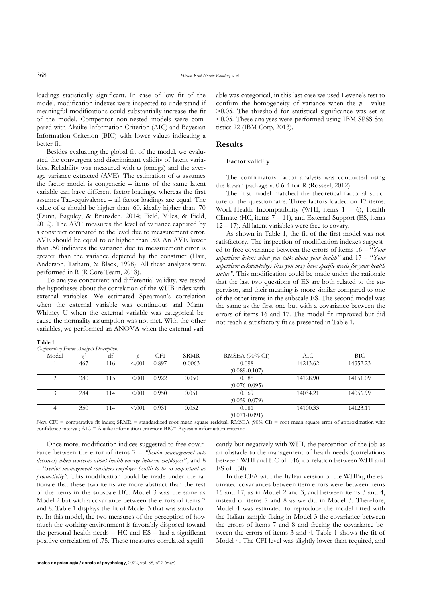loadings statistically significant. In case of low fit of the model, modification indexes were inspected to understand if meaningful modifications could substantially increase the fit of the model. Competitor non-nested models were compared with Akaike Information Criterion (AIC) and Bayesian Information Criterion (BIC) with lower values indicating a better fit.

Besides evaluating the global fit of the model, we evaluated the convergent and discriminant validity of latent variables. Reliability was measured with ω (omega) and the average variance extracted (AVE). The estimation of ω assumes the factor model is congeneric – items of the same latent variable can have different factor loadings, whereas the first assumes Tau-equivalence – all factor loadings are equal. The value of ω should be higher than .60, ideally higher than .70 (Dunn, Baguley, & Brunsden, 2014; Field, Miles, & Field, 2012). The AVE measures the level of variance captured by a construct compared to the level due to measurement error. AVE should be equal to or higher than .50. An AVE lower than .50 indicates the variance due to measurement error is greater than the variance depicted by the construct (Hair, Anderson, Tatham, & Black, 1998). All these analyses were performed in R (R Core Team, 2018).

To analyze concurrent and differential validity, we tested the hypotheses about the correlation of the WHB index with external variables. We estimated Spearman's correlation when the external variable was continuous and Mann-Whitney U when the external variable was categorical because the normality assumption was not met. With the other variables, we performed an ANOVA when the external vari-

| таріе т                                 |  |  |
|-----------------------------------------|--|--|
| Confirmatory Eactor Analycic Decembrion |  |  |

**Table 1**

able was categorical, in this last case we used Levene's test to confirm the homogeneity of variance when the  $p$  - value  $\geq$ 0.05. The threshold for statistical significance was set at <0.05. These analyses were performed using IBM SPSS Statistics 22 (IBM Corp, 2013).

## **Results**

### **Factor validity**

The confirmatory factor analysis was conducted using the lavaan package v. 0.6-4 for R (Rosseel, 2012).

The first model matched the theoretical factorial structure of the questionnaire. Three factors loaded on 17 items: Work-Health Incompatibility (WHI, items 1 – 6), Health Climate (HC, items 7 – 11), and External Support (ES, items 12 – 17). All latent variables were free to covary.

As shown in Table 1, the fit of the first model was not satisfactory. The inspection of modification indexes suggested to free covariance between the errors of items 16 – "*Your supervisor listens when you talk about your health"* and 17 – "*Your supervisor acknowledges that you may have specific needs for your health status".* This modification could be made under the rationale that the last two questions of ES are both related to the supervisor, and their meaning is more similar compared to one of the other items in the subscale ES. The second model was the same as the first one but with a covariance between the errors of items 16 and 17. The model fit improved but did not reach a satisfactory fit as presented in Table 1.

| $Conjumuovy_1uuovz_nuuysus Desinpuon.$ |            |     |                          |          |             |                       |          |                                             |
|----------------------------------------|------------|-----|--------------------------|----------|-------------|-----------------------|----------|---------------------------------------------|
| Model                                  | $\sqrt{2}$ | df  |                          | CFI      | <b>SRMR</b> | <b>RMSEA</b> (90% CI) | AІC      | BIC                                         |
|                                        | 467        | 116 | < 0.001                  | 0.897    | 0.0063      | 0.098                 | 14213.62 | 14352.23                                    |
|                                        |            |     |                          |          |             | $(0.089 - 0.107)$     |          |                                             |
|                                        | 380        | 115 | < 0.001                  | 0.922    | 0.050       | 0.085                 | 14128.90 | 14151.09                                    |
|                                        |            |     |                          |          |             | $(0.076 - 0.095)$     |          |                                             |
|                                        | 284        | 114 | < 0.01                   | 0.950    | 0.051       | 0.069                 | 14034.21 | 14056.99                                    |
|                                        |            |     |                          |          |             | $(0.059 - 0.079)$     |          |                                             |
|                                        | 350        | 114 | < 0.01                   | 0.931    | 0.052       | 0.081                 | 14100.33 | 14123.11                                    |
|                                        |            |     |                          |          |             | $(0.071 - 0.091)$     |          |                                             |
| $\sim$ $\sim$<br>$-1$                  |            | .   | comments of the comments | $\cdots$ |             |                       |          | $\sim$<br>$\cdot$ $\cdot$ $\cdot$<br>$\sim$ |

*Note*. CFI = comparative fit index; SRMR = standardized root mean square residual; RMSEA (90% CI) = root mean square error of approximation with confidence interval; AIC = Akaike information criterion; BIC= Bayesian information criterion.

Once more, modification indices suggested to free covariance between the error of items 7 – *"Senior management acts decisively when concerns about health emerge between employees*", and 8 – *"Senior management considers employee health to be as important as productivity"*. This modification could be made under the rationale that these two items are more abstract than the rest of the items in the subscale HC. Model 3 was the same as Model 2 but with a covariance between the errors of items 7 and 8. Table 1 displays the fit of Model 3 that was satisfactory. In this model, the two measures of the perception of how much the working environment is favorably disposed toward the personal health needs – HC and ES – had a significant positive correlation of .75. These measures correlated significantly but negatively with WHI, the perception of the job as an obstacle to the management of health needs (correlations between WHI and HC of -.46; correlation between WHI and ES of -.50).

In the CFA with the Italian version of the WHBq, the estimated covariances between item errors were between items 16 and 17, as in Model 2 and 3, and between items 3 and 4, instead of items 7 and 8 as we did in Model 3. Therefore, Model 4 was estimated to reproduce the model fitted with the Italian sample fixing in Model 3 the covariance between the errors of items 7 and 8 and freeing the covariance between the errors of items 3 and 4. Table 1 shows the fit of Model 4. The CFI level was slightly lower than required, and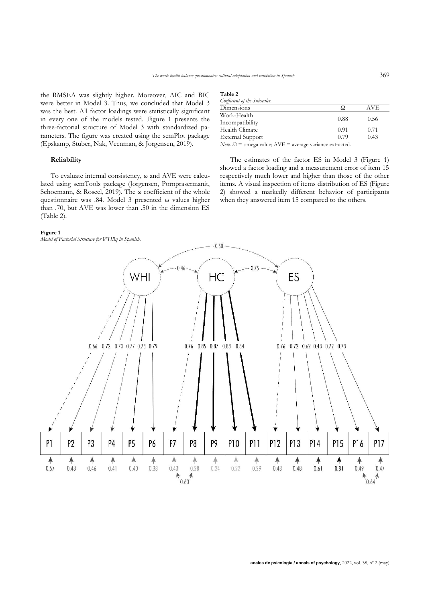the RMSEA was slightly higher. Moreover, AIC and BIC were better in Model 3. Thus, we concluded that Model 3 was the best. All factor loadings were statistically significant in every one of the models tested. Figure 1 presents the three-factorial structure of Model 3 with standardized parameters. The figure was created using the semPlot package (Epskamp, Stuber, Nak, Veenman, & Jorgensen, 2019).

### **Reliability**

To evaluate internal consistency, ω and AVE were calculated using semTools package (Jorgensen, Pornprasermanit, Schoemann, & Roseel, 2019). The  $\omega$  coefficient of the whole questionnaire was .84. Model 3 presented ω values higher than .70, but AVE was lower than .50 in the dimension ES (Table 2).

#### **Figure 1**

*Model of Factorial Structure for WHBq in Spanish.*

| Table 2<br>Coefficient of the Subscales. |      |     |
|------------------------------------------|------|-----|
| Dimensions                               |      | AVF |
| Work-Health                              | 0.00 |     |

WORK-Health<br>
Incompatibility 0.88 0.56<br>
Health Climate 0.91 0.71 Health Climate  $0.91$  0.71 0.71 External Support 0.79 0.43 External Support

*Note*. Ω = omega value; AVE = average variance extracted.

The estimates of the factor ES in Model 3 (Figure 1) showed a factor loading and a measurement error of item 15 respectively much lower and higher than those of the other items. A visual inspection of items distribution of ES (Figure 2) showed a markedly different behavior of participants when they answered item 15 compared to the others.

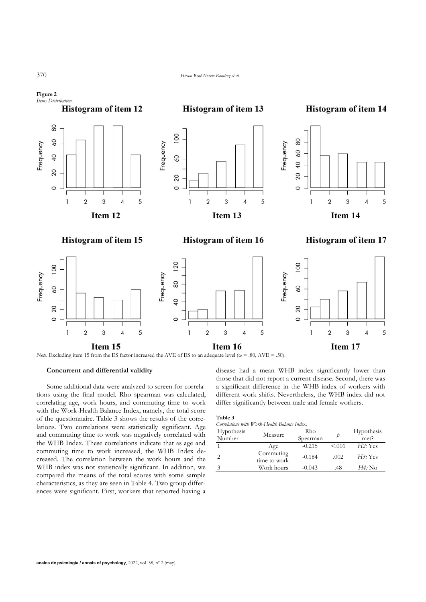

*Note*. Excluding item 15 from the ES factor increased the AVE of ES to an adequate level (ω = .80, AVE = .50).

## **Concurrent and differential validity**

Some additional data were analyzed to screen for correlations using the final model. Rho spearman was calculated, correlating age, work hours, and commuting time to work with the Work-Health Balance Index, namely, the total score of the questionnaire. Table 3 shows the results of the correlations. Two correlations were statistically significant. Age and commuting time to work was negatively correlated with the WHB Index. These correlations indicate that as age and commuting time to work increased, the WHB Index decreased. The correlation between the work hours and the WHB index was not statistically significant. In addition, we compared the means of the total scores with some sample characteristics, as they are seen in Table 4. Two group differences were significant. First, workers that reported having a disease had a mean WHB index significantly lower than those that did not report a current disease. Second, there was a significant difference in the WHB index of workers with different work shifts. Nevertheless, the WHB index did not differ significantly between male and female workers.

|                          | <b>Table 3</b> |         |          |          |  |  |
|--------------------------|----------------|---------|----------|----------|--|--|
| $\overline{\phantom{a}}$ |                | .7 TTT7 | $\cdots$ | $\cdots$ |  |  |

| Correlations with W ork-Health Balance Index. |                           |          |        |                |  |  |
|-----------------------------------------------|---------------------------|----------|--------|----------------|--|--|
| Hypothesis                                    | Measure                   | Rho      |        | Hypothesis     |  |  |
| Number                                        |                           | Spearman | р      | met?           |  |  |
|                                               | Age                       | $-0.215$ | < 0.01 | H2: Yes        |  |  |
| 2                                             | Commuting<br>time to work | $-0.184$ | .002   | H3:Yes         |  |  |
| 3                                             | Work hours                | $-0.043$ | .48    | <i>H4</i> : No |  |  |

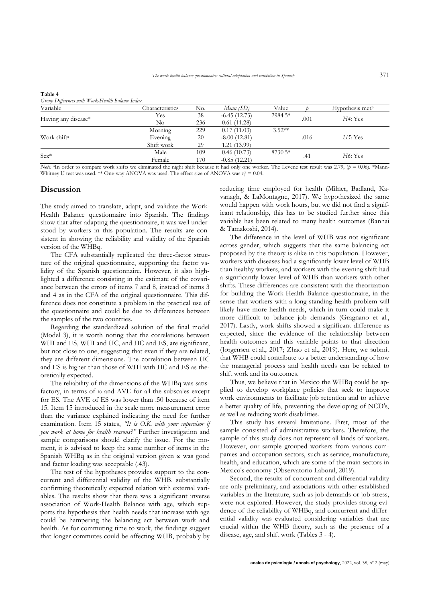| -------                                           |                 |     |                |          |      |                      |  |
|---------------------------------------------------|-----------------|-----|----------------|----------|------|----------------------|--|
| Group Differences with Work-Health Balance Index. |                 |     |                |          |      |                      |  |
| Variable                                          | Characteristics | No. | Mean (SD)      | Value    |      | Hypothesis met?      |  |
| Having any disease*                               | Yes             | 38  | $-6.45(12.73)$ | 2984.5*  | .001 | H4: Yes              |  |
|                                                   | No              | 236 | 0.61(11.28)    |          |      |                      |  |
|                                                   | Morning         | 229 | 0.17(11.03)    | $3.52**$ |      |                      |  |
| Work shift <sup>a</sup>                           | Evening         | 20  | $-8.00(12.81)$ |          | .016 | H <sub>5</sub> : Yes |  |
|                                                   | Shift work      | 29  | 1.21 (13.99)   |          |      |                      |  |
| $Sex*$                                            | Male            | 109 | 0.46(10.73)    | 8730.5*  |      | H6: Yes              |  |
|                                                   | Female          | 170 | $-0.85(12.21)$ |          | .41  |                      |  |

*Note*. <sup>a</sup>In order to compare work shifts we eliminated the night shift because it had only one worker. The Levene test result was 2.79, (*p* = 0.06). \*Mann-

Whitney U test was used. \*\* One-way ANOVA was used. The effect size of ANOVA was  $\eta^2 = 0.04$ .

## **Discussion**

**Table 4**

The study aimed to translate, adapt, and validate the Work-Health Balance questionnaire into Spanish. The findings show that after adapting the questionnaire, it was well understood by workers in this population. The results are consistent in showing the reliability and validity of the Spanish version of the WHBq.

The CFA substantially replicated the three-factor structure of the original questionnaire, supporting the factor validity of the Spanish questionnaire. However, it also highlighted a difference consisting in the estimate of the covariance between the errors of items 7 and 8, instead of items 3 and 4 as in the CFA of the original questionnaire. This difference does not constitute a problem in the practical use of the questionnaire and could be due to differences between the samples of the two countries.

Regarding the standardized solution of the final model (Model 3), it is worth noting that the correlations between WHI and ES, WHI and HC, and HC and ES, are significant, but not close to one, suggesting that even if they are related, they are different dimensions. The correlation between HC and ES is higher than those of WHI with HC and ES as theoretically expected.

The reliability of the dimensions of the WHBq was satisfactory, in terms of ω and AVE for all the subscales except for ES. The AVE of ES was lower than .50 because of item 15. Item 15 introduced in the scale more measurement error than the variance explained indicating the need for further examination. Item 15 states, *"It is O.K. with your supervisor if you work at home for health reasons?"* Further investigation and sample comparisons should clarify the issue. For the moment, it is advised to keep the same number of items in the Spanish WHBq as in the original version given ω was good and factor loading was acceptable (.43).

The test of the hypotheses provides support to the concurrent and differential validity of the WHB, substantially confirming theoretically expected relation with external variables. The results show that there was a significant inverse association of Work-Health Balance with age, which supports the hypothesis that health needs that increase with age could be hampering the balancing act between work and health. As for commuting time to work, the findings suggest that longer commutes could be affecting WHB, probably by reducing time employed for health (Milner, Badland, Kavanagh, & LaMontagne, 2017). We hypothesized the same would happen with work hours, but we did not find a significant relationship, this has to be studied further since this variable has been related to many health outcomes (Bannai & Tamakoshi, 2014).

The difference in the level of WHB was not significant across gender, which suggests that the same balancing act proposed by the theory is alike in this population. However, workers with diseases had a significantly lower level of WHB than healthy workers, and workers with the evening shift had a significantly lower level of WHB than workers with other shifts. These differences are consistent with the theorization for building the Work-Health Balance questionnaire, in the sense that workers with a long-standing health problem will likely have more health needs, which in turn could make it more difficult to balance job demands (Gragnano et al., 2017). Lastly, work shifts showed a significant difference as expected, since the evidence of the relationship between health outcomes and this variable points to that direction (Jørgensen et al., 2017; Zhao et al., 2019). Here, we submit that WHB could contribute to a better understanding of how the managerial process and health needs can be related to shift work and its outcomes.

Thus, we believe that in Mexico the WHBq could be applied to develop workplace policies that seek to improve work environments to facilitate job retention and to achieve a better quality of life, preventing the developing of NCD's, as well as reducing work disabilities.

This study has several limitations. First, most of the sample consisted of administrative workers. Therefore, the sample of this study does not represent all kinds of workers. However, our sample grouped workers from various companies and occupation sectors, such as service, manufacture, health, and education, which are some of the main sectors in Mexico's economy (Observatorio Laboral, 2019).

Second, the results of concurrent and differential validity are only preliminary, and associations with other established variables in the literature, such as job demands or job stress, were not explored. However, the study provides strong evidence of the reliability of WHBq, and concurrent and differential validity was evaluated considering variables that are crucial within the WHB theory, such as the presence of a disease, age, and shift work (Tables 3 - 4).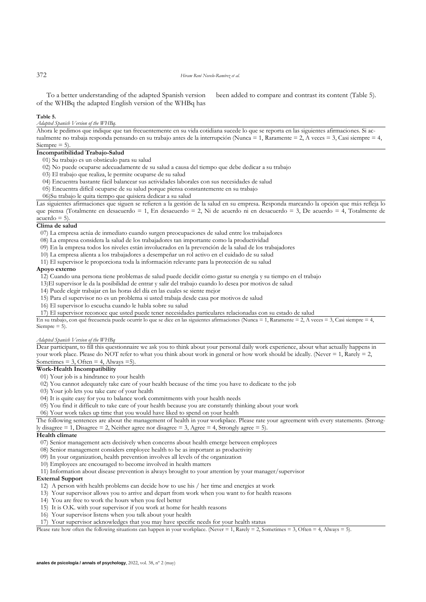To a better understanding of the adapted Spanish version of the WHBq the adapted English version of the WHBq has

been added to compare and contrast its content (Table 5).

#### **Table 5.**

# *Adapted Spanish Version of the WHBq.*

Ahora le pedimos que indique que tan frecuentemente en su vida cotidiana sucede lo que se reporta en las siguientes afirmaciones. Si actualmente no trabaja responda pensando en su trabajo antes de la interrupción (Nunca = 1, Raramente = 2, A veces = 3, Casi siempre = 4, Siempre  $= 5$ ).

# **Incompatibilidad Trabajo-Salud**

- 01) Su trabajo es un obstáculo para su salud
- 02) No puede ocuparse adecuadamente de su salud a causa del tiempo que debe dedicar a su trabajo
- 03) El trabajo que realiza, le permite ocuparse de su salud
- 04) Encuentra bastante fácil balancear sus actividades laborales con sus necesidades de salud
- 05) Encuentra difícil ocuparse de su salud porque piensa constantemente en su trabajo
- 06)Su trabajo le quita tiempo que quisiera dedicar a su salud

Las siguientes afirmaciones que siguen se refieren a la gestión de la salud en su empresa. Responda marcando la opción que más refleja lo que piensa (Totalmente en desacuerdo = 1, En desacuerdo = 2, Ni de acuerdo ni en desacuerdo = 3, De acuerdo = 4, Totalmente de  $acuerdo = 5$ ).

## **Clima de salud**

07) La empresa actúa de inmediato cuando surgen preocupaciones de salud entre los trabajadores

- 08) La empresa considera la salud de los trabajadores tan importante como la productividad
- 09) En la empresa todos los niveles están involucrados en la prevención de la salud de los trabajadores
- 10) La empresa alienta a los trabajadores a desempeñar un rol activo en el cuidado de su salud
- 11) El supervisor le proporciona toda la información relevante para la protección de su salud

## **Apoyo externo**

12) Cuando una persona tiene problemas de salud puede decidir cómo gastar su energía y su tiempo en el trabajo

- 13)El supervisor le da la posibilidad de entrar y salir del trabajo cuando lo desea por motivos de salud
- 14) Puede elegir trabajar en las horas del día en las cuales se siente mejor
- 15) Para el supervisor no es un problema si usted trabaja desde casa por motivos de salud
- 16) El supervisor lo escucha cuando le habla sobre su salud

17) El supervisor reconoce que usted puede tener necesidades particulares relacionadas con su estado de salud

En su trabajo, con qué frecuencia puede ocurrir lo que se dice en las siguientes afirmaciones (Nunca = 1, Raramente = 2, A veces = 3, Casi siempre = 4, Siempre  $= 5$ ).

### *Adapted Spanish Version of the WHBq*

Dear participant, to fill this questionnaire we ask you to think about your personal daily work experience, about what actually happens in your work place. Please do NOT refer to what you think about work in general or how work should be ideally. (Never = 1, Rarely = 2, Sometimes = 3, Often = 4, Always = 5).

### **Work-Health Incompatibility**

- 01) Your job is a hindrance to your health
- 02) You cannot adequately take care of your health because of the time you have to dedicate to the job
- 03) Your job lets you take care of your health
- 04) It is quite easy for you to balance work commitments with your health needs
- 05) You find it difficult to take care of your health because you are constantly thinking about your work
- 06) Your work takes up time that you would have liked to spend on your health

The following sentences are about the management of health in your workplace. Please rate your agreement with every statements. (Strongly disagree  $= 1$ , Disagree  $= 2$ , Neither agree nor disagree  $= 3$ , Agree  $= 4$ , Strongly agree  $= 5$ ).

## **Health climate**

- 07) Senior management acts decisively when concerns about health emerge between employees
- 08) Senior management considers employee health to be as important as productivity
- 09) In your organization, health prevention involves all levels of the organization
- 10) Employees are encouraged to become involved in health matters
- 11) Information about disease prevention is always brought to your attention by your manager/supervisor

#### **External Support**

- 12) A person with health problems can decide how to use his / her time and energies at work
- 13) Your supervisor allows you to arrive and depart from work when you want to for health reasons
- 14) You are free to work the hours when you feel better
- 15) It is O.K. with your supervisor if you work at home for health reasons
- 16) Your supervisor listens when you talk about your health
- 17) Your supervisor acknowledges that you may have specific needs for your health status

Please rate how often the following situations can happen in your workplace. (Never = 1, Rarely = 2, Sometimes = 3, Often = 4, Always = 5).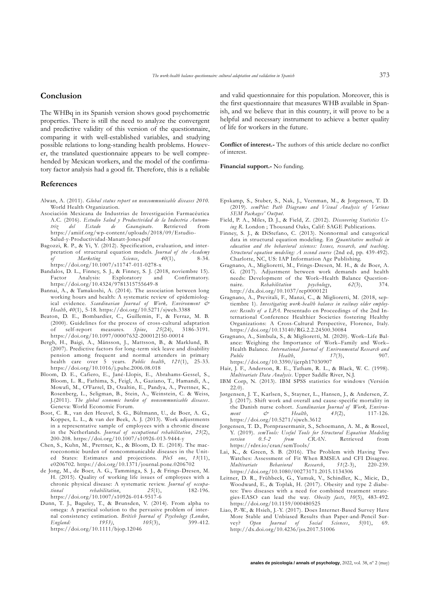## **Conclusion**

The WHBq in its Spanish version shows good psychometric properties. There is still the need to analyze the convergent and predictive validity of this version of the questionnaire, comparing it with well-established variables, and studying possible relations to long-standing health problems. However, the translated questionnaire appears to be well comprehended by Mexican workers, and the model of the confirmatory factor analysis had a good fit. Therefore, this is a reliable

### **References**

- Alwan, A. (2011). *Global status report on noncommunicable diseases 2010.* World Health Organization.
- Asociación Mexicana de Industrias de Investigación Farmacéutica A.C. (2016). *Estudio Salud y Productividad de la Industria Automotriz del Estado de Guanajuato*. Retrieved from https://amiif.org/wp-content/uploads/2018/09/Estudio-Salud-y-Productividad-Manatt-Jones.pdf
- Bagozzi, R. P., & Yi, Y. (2012). Specification, evaluation, and interpretation of structural equation models. *Journal of the Academy of Marketing Science*, *40*(1), 8-34. https://doi.org/10.1007/s11747-011-0278-x
- Bandalos, D. L., Finney, S. J., & Finney, S. J. (2018, noviembre 15). Factor Analysis: Exploratory and Confirmatory. https://doi.org/10.4324/9781315755649-8
- Bannai, A., & Tamakoshi, A. (2014). The association between long working hours and health: A systematic review of epidemiological evidence. *Scandinavian Journal of Work, Environment & Health*, *40*(1), 5-18. https://doi.org/10.5271/sjweh.3388
- Beaton, D. E., Bombardier, C., Guillemin, F., & Ferraz, M. B. (2000). Guidelines for the process of cross-cultural adaptation of self-report measures. *Spine*, *25*(24), 3186-3191. https://doi.org/10.1097/00007632-200012150-00014
- Bergh, H., Baigi, A., Månsson, J., Mattsson, B., & Marklund, B. (2007). Predictive factors for long-term sick leave and disability pension among frequent and normal attenders in primary health care over 5 years. *Public health*, *121*(1), 25-33. https://doi.org/10.1016/j.puhe.2006.08.018
- Bloom, D. E., Cafiero, E., Jané-Llopis, E., Abrahams-Gessel, S., Bloom, L. R., Fathima, S., Feigl, A., Gaziano, T., Hamandi, A., Mowafi, M., O'Farrel, D., Ozaltin, E., Pandya, A., Prettner, K., Rosenberg, L., Seligman, B., Stein, A., Weinstein, C. & Weiss, J.(2011). *The global economic burden of noncommunicable diseases*. Geneva: World Economic Forum.
- Boot, C. R., van den Heuvel, S. G., Bültmann, U., de Boer, A. G., Koppes, L. L., & van der Beek, A. J. (2013). Work adjustments in a representative sample of employees with a chronic disease in the Netherlands. *Journal of occupational rehabilitation*, *23*(2), 200-208. https://doi.org/10.1007/s10926-013-9444-y
- Chen, S., Kuhn, M., Prettner, K., & Bloom, D. E. (2018). The macroeconomic burden of noncommunicable diseases in the United States: Estimates and projections. *PloS one*, *13*(11), e0206702. https://doi.org/10.1371/journal.pone.0206702
- de Jong, M., de Boer, A. G., Tamminga, S. J., & Frings-Dresen, M. H. (2015). Quality of working life issues of employees with a chronic physical disease: A systematic review. *Journal of occupa-*<br>tional rehabilitation,  $25(1)$ ,  $182-196$ . *tional rehabilitation*, *25*(1), 182-196. https://doi.org/10.1007/s10926-014-9517-6
- Dunn, T. J., Baguley, T., & Brunsden, V. (2014). From alpha to omega: A practical solution to the pervasive problem of internal consistency estimation. *British Journal of Psychology (London, England: 1953*),  $105(3)$ , https://doi.org/10.1111/bjop.12046

and valid questionnaire for this population. Moreover, this is the first questionnaire that measures WHB available in Spanish, and we believe that in this country, it will prove to be a helpful and necessary instrument to achieve a better quality of life for workers in the future.

**Conflict of interest.-** The authors of this article declare no conflict of interest.

**Financial support.-** No funding.

- Epskamp, S., Stuber, S., Nak, J., Veenman, M., & Jorgensen, T. D. (2019). *semPlot: Path Diagrams and Visual Analysis of Various SEM Packages' Output*.
- Field, P. A., Miles, D. J., & Field, Z. (2012). *Discovering Statistics Using R*. London ; Thousand Oaks, Calif: SAGE Publications.
- Finney, S. J., & DiStefano, C. (2013). Nonnormal and categorical data in structural equation modeling. En *Quantitative methods in education and the behavioral sciences: Issues, research, and teaching*. *Structural equation modeling: A second course* (2nd ed, pp. 439-492). Charlotte, NC, US: IAP Information Age Publishing.
- Gragnano, A., Miglioretti, M., Frings-Dresen, M. H., & de Boer, A. G. (2017). Adjustment between work demands and health needs: Development of the Work–Health Balance Question-<br>naire. Rehabilitation psychology, 62(3), 374.  $R$ *ehabilitation* http://dx.doi.org/10.1037/rep0000121
- Gragnano, A., Previtali, F., Manzi, C., & Miglioretti, M. (2018, septiembre 1). *Investigating work-health balance in railway older employees: Results of a LPA*. Presentado en Proceedings of the 2nd International Conference Healthier Societies fostering Healthy Organizations: A Cross-Cultural Perspective, Florence, Italy. https://doi.org/10.13140/RG.2.2.24500.30084
- Gragnano, A., Simbula, S., & Miglioretti, M. (2020). Work–Life Balance: Weighing the Importance of Work–Family and Work– Health Balance. *International Journal of Environmental Research and Public Health*, *17*(3), 907. https://doi.org/10.3390/ijerph17030907
- Hair, J. F., Anderson, R. E., Tatham, R. L., & Black, W. C. (1998). *Multivariate Data Analysis*. Upper Saddle River, N.J.
- IBM Corp, N. (2013). IBM SPSS statistics for windows (Versión  $22.0$ ).
- Jørgensen, J. T., Karlsen, S., Stayner, L., Hansen, J., & Andersen, Z. J. (2017). Shift work and overall and cause-specific mortality in the Danish nurse cohort. *Scandinavian Journal of Work, Environment*  $\mathfrak{S}$  Health,  $43(2)$ , https://doi.org/10.5271/sjweh.3612
- Jorgensen, T. D., Pornprasermanit, S., Schoemann, A. M., & Roseel, Y. (2019). *semTools: Useful Tools for Structural Equation Modeling version 0.5-2 from CRAN*. Retrieved from https://rdrr.io/cran/semTools/
- Lai, K., & Green, S. B. (2016). The Problem with Having Two Watches: Assessment of Fit When RMSEA and CFI Disagree. *Multivariate Behavioral Research*, *51*(2-3), 220-239. https://doi.org/10.1080/00273171.2015.1134306
- Leitner, D. R., Frühbeck, G., Yumuk, V., Schindler, K., Micic, D., Woodward, E., & Toplak, H. (2017). Obesity and type 2 diabetes: Two diseases with a need for combined treatment strategies-EASO can lead the way. *Obesity facts*, *10*(5), 483-492. https://doi.org/10.1159/000480525
- Liao, P.-W., & Hsieh, J.-Y. (2017). Does Internet-Based Survey Have More Stable and Unbiased Results than Paper-and-Pencil Survey? *Open Journal of Social Sciences*, *5*(01), 69. http://dx.doi.org/10.4236/jss.2017.51006